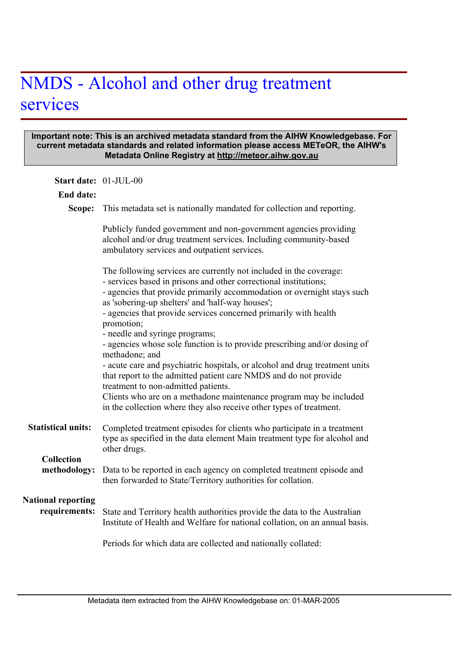## NMDS - Alcohol and other drug treatment services

## **Important note: This is an archived metadata standard from the AIHW Knowledgebase. For current metadata standards and related information please access METeOR, the AIHW's Metadata Online Registry at http://meteor.aihw.gov.au**

| Start date: 01-JUL-00                      |                                                                                                                                                                                                                                                                                                                                                                                                                                                                                                                                                                                                                                                                                                                                                                                                                                 |
|--------------------------------------------|---------------------------------------------------------------------------------------------------------------------------------------------------------------------------------------------------------------------------------------------------------------------------------------------------------------------------------------------------------------------------------------------------------------------------------------------------------------------------------------------------------------------------------------------------------------------------------------------------------------------------------------------------------------------------------------------------------------------------------------------------------------------------------------------------------------------------------|
| <b>End date:</b>                           |                                                                                                                                                                                                                                                                                                                                                                                                                                                                                                                                                                                                                                                                                                                                                                                                                                 |
| Scope:                                     | This metadata set is nationally mandated for collection and reporting.                                                                                                                                                                                                                                                                                                                                                                                                                                                                                                                                                                                                                                                                                                                                                          |
|                                            | Publicly funded government and non-government agencies providing<br>alcohol and/or drug treatment services. Including community-based<br>ambulatory services and outpatient services.                                                                                                                                                                                                                                                                                                                                                                                                                                                                                                                                                                                                                                           |
|                                            | The following services are currently not included in the coverage:<br>- services based in prisons and other correctional institutions;<br>- agencies that provide primarily accommodation or overnight stays such<br>as 'sobering-up shelters' and 'half-way houses';<br>- agencies that provide services concerned primarily with health<br>promotion;<br>- needle and syringe programs;<br>- agencies whose sole function is to provide prescribing and/or dosing of<br>methadone; and<br>- acute care and psychiatric hospitals, or alcohol and drug treatment units<br>that report to the admitted patient care NMDS and do not provide<br>treatment to non-admitted patients.<br>Clients who are on a methadone maintenance program may be included<br>in the collection where they also receive other types of treatment. |
| <b>Statistical units:</b>                  | Completed treatment episodes for clients who participate in a treatment<br>type as specified in the data element Main treatment type for alcohol and<br>other drugs.                                                                                                                                                                                                                                                                                                                                                                                                                                                                                                                                                                                                                                                            |
| <b>Collection</b><br>methodology:          | Data to be reported in each agency on completed treatment episode and<br>then forwarded to State/Territory authorities for collation.                                                                                                                                                                                                                                                                                                                                                                                                                                                                                                                                                                                                                                                                                           |
| <b>National reporting</b><br>requirements: | State and Territory health authorities provide the data to the Australian<br>Institute of Health and Welfare for national collation, on an annual basis.                                                                                                                                                                                                                                                                                                                                                                                                                                                                                                                                                                                                                                                                        |
|                                            | Periods for which data are collected and nationally collated:                                                                                                                                                                                                                                                                                                                                                                                                                                                                                                                                                                                                                                                                                                                                                                   |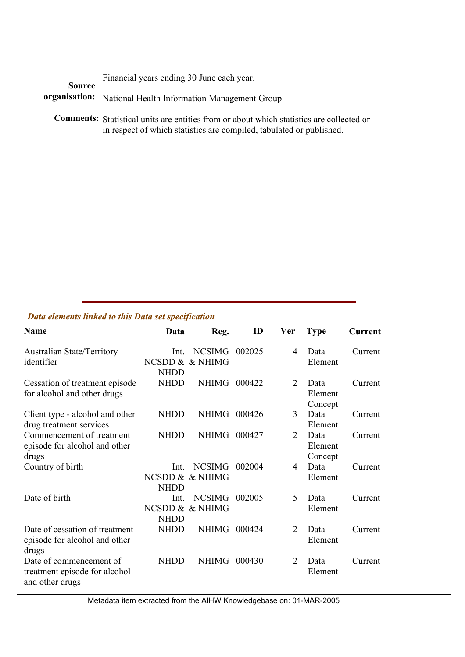Financial years ending 30 June each year.

organisation: National Health Information Management Group **Source** 

Comments: Statistical units are entities from or about which statistics are collected or in respect of which statistics are compiled, tabulated or published.

## *Data elements linked to this Data set specification*

| <b>Name</b>                                                                 | Data                                   | Reg.                             | ID     | Ver                         | <b>Type</b>                | Current |
|-----------------------------------------------------------------------------|----------------------------------------|----------------------------------|--------|-----------------------------|----------------------------|---------|
| <b>Australian State/Territory</b><br>identifier                             | Int.<br><b>NHDD</b>                    | <b>NCSIMG</b><br>NCSDD & & NHIMG | 002025 | 4                           | Data<br>Element            | Current |
| Cessation of treatment episode<br>for alcohol and other drugs               | <b>NHDD</b>                            | NHIMG                            | 000422 | 2                           | Data<br>Element<br>Concept | Current |
| Client type - alcohol and other<br>drug treatment services                  | <b>NHDD</b>                            | NHIMG                            | 000426 | 3                           | Data<br>Element            | Current |
| Commencement of treatment<br>episode for alcohol and other<br>drugs         | <b>NHDD</b>                            | NHIMG                            | 000427 | 2                           | Data<br>Element<br>Concept | Current |
| Country of birth                                                            | Int.<br>NCSDD & & NHIMG<br><b>NHDD</b> | <b>NCSIMG</b>                    | 002004 | 4                           | Data<br>Element            | Current |
| Date of birth                                                               | Int.<br><b>NHDD</b>                    | <b>NCSIMG</b><br>NCSDD & & NHIMG | 002005 | 5                           | Data<br>Element            | Current |
| Date of cessation of treatment<br>episode for alcohol and other<br>drugs    | <b>NHDD</b>                            | <b>NHIMG</b>                     | 000424 | $\mathcal{D}_{\mathcal{L}}$ | Data<br>Element            | Current |
| Date of commencement of<br>treatment episode for alcohol<br>and other drugs | <b>NHDD</b>                            | <b>NHIMG</b>                     | 000430 | 2                           | Data<br>Element            | Current |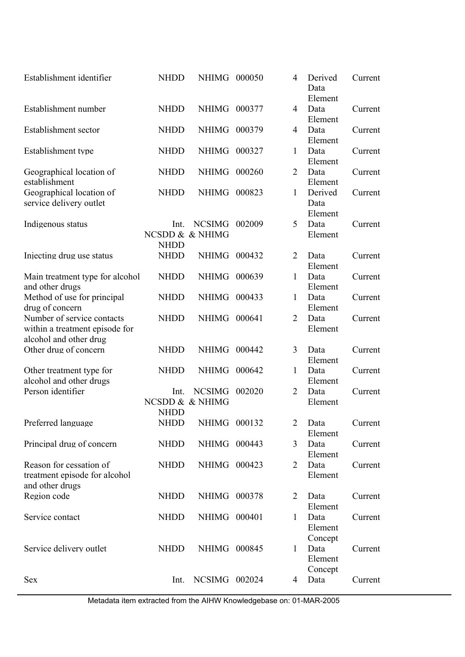| Establishment identifier                                                               | <b>NHDD</b>         | <b>NHIMG</b>                     | 000050 | 4              | Derived<br>Data<br>Element | Current |
|----------------------------------------------------------------------------------------|---------------------|----------------------------------|--------|----------------|----------------------------|---------|
| Establishment number                                                                   | <b>NHDD</b>         | <b>NHIMG</b>                     | 000377 | $\overline{4}$ | Data<br>Element            | Current |
| Establishment sector                                                                   | <b>NHDD</b>         | <b>NHIMG</b>                     | 000379 | $\overline{4}$ | Data<br>Element            | Current |
| Establishment type                                                                     | <b>NHDD</b>         | <b>NHIMG</b>                     | 000327 | 1              | Data<br>Element            | Current |
| Geographical location of<br>establishment                                              | <b>NHDD</b>         | <b>NHIMG</b>                     | 000260 | $\overline{2}$ | Data<br>Element            | Current |
| Geographical location of<br>service delivery outlet                                    | <b>NHDD</b>         | <b>NHIMG</b>                     | 000823 | 1              | Derived<br>Data<br>Element | Current |
| Indigenous status                                                                      | Int.<br><b>NHDD</b> | <b>NCSIMG</b><br>NCSDD & & NHIMG | 002009 | 5              | Data<br>Element            | Current |
| Injecting drug use status                                                              | <b>NHDD</b>         | <b>NHIMG</b>                     | 000432 | $\overline{2}$ | Data<br>Element            | Current |
| Main treatment type for alcohol<br>and other drugs                                     | <b>NHDD</b>         | <b>NHIMG</b>                     | 000639 | 1              | Data<br>Element            | Current |
| Method of use for principal<br>drug of concern                                         | <b>NHDD</b>         | <b>NHIMG</b>                     | 000433 | $\mathbf{1}$   | Data<br>Element            | Current |
| Number of service contacts<br>within a treatment episode for<br>alcohol and other drug | <b>NHDD</b>         | <b>NHIMG</b>                     | 000641 | $\overline{2}$ | Data<br>Element            | Current |
| Other drug of concern                                                                  | <b>NHDD</b>         | <b>NHIMG</b>                     | 000442 | 3              | Data<br>Element            | Current |
| Other treatment type for<br>alcohol and other drugs                                    | <b>NHDD</b>         | <b>NHIMG</b>                     | 000642 | 1              | Data<br>Element            | Current |
| Person identifier                                                                      | Int.<br><b>NHDD</b> | <b>NCSIMG</b><br>NCSDD & & NHIMG | 002020 | $\overline{2}$ | Data<br>Element            | Current |
| Preferred language                                                                     | NHDD                | NHIMG 000132                     |        | $\overline{2}$ | Data<br>Element            | Current |
| Principal drug of concern                                                              | <b>NHDD</b>         | NHIMG 000443                     |        | 3              | Data<br>Element            | Current |
| Reason for cessation of<br>treatment episode for alcohol<br>and other drugs            | <b>NHDD</b>         | NHIMG 000423                     |        | $\overline{2}$ | Data<br>Element            | Current |
| Region code                                                                            | <b>NHDD</b>         | NHIMG 000378                     |        | $\overline{2}$ | Data<br>Element            | Current |
| Service contact                                                                        | <b>NHDD</b>         | NHIMG 000401                     |        | $\mathbf{1}$   | Data<br>Element<br>Concept | Current |
| Service delivery outlet                                                                | <b>NHDD</b>         | NHIMG 000845                     |        | $\mathbf{1}$   | Data<br>Element<br>Concept | Current |
| <b>Sex</b>                                                                             | Int.                | NCSIMG 002024                    |        | 4              | Data                       | Current |

Metadata item extracted from the AIHW Knowledgebase on: 01-MAR-2005